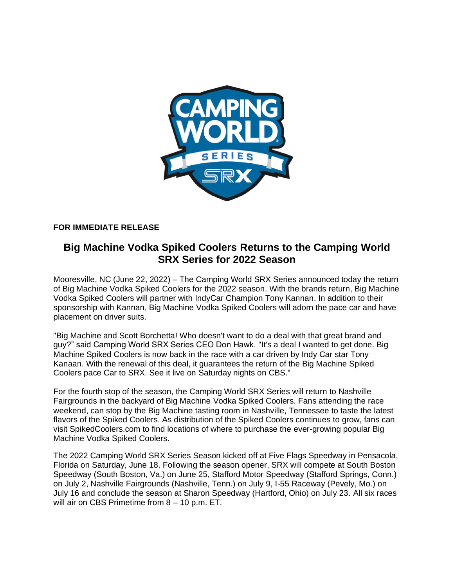

# **FOR IMMEDIATE RELEASE**

# **Big Machine Vodka Spiked Coolers Returns to the Camping World SRX Series for 2022 Season**

Mooresville, NC (June 22, 2022) – The Camping World SRX Series announced today the return of Big Machine Vodka Spiked Coolers for the 2022 season. With the brands return, Big Machine Vodka Spiked Coolers will partner with IndyCar Champion Tony Kannan. In addition to their sponsorship with Kannan, Big Machine Vodka Spiked Coolers will adorn the pace car and have placement on driver suits.

"Big Machine and Scott Borchetta! Who doesn't want to do a deal with that great brand and guy?" said Camping World SRX Series CEO Don Hawk. "It's a deal I wanted to get done. Big Machine Spiked Coolers is now back in the race with a car driven by Indy Car star Tony Kanaan. With the renewal of this deal, it guarantees the return of the Big Machine Spiked Coolers pace Car to SRX. See it live on Saturday nights on CBS."

For the fourth stop of the season, the Camping World SRX Series will return to Nashville Fairgrounds in the backyard of Big Machine Vodka Spiked Coolers. Fans attending the race weekend, can stop by the Big Machine tasting room in Nashville, Tennessee to taste the latest flavors of the Spiked Coolers. As distribution of the Spiked Coolers continues to grow, fans can visit SpikedCoolers.com to find locations of where to purchase the ever-growing popular Big Machine Vodka Spiked Coolers.

The 2022 Camping World SRX Series Season kicked off at Five Flags Speedway in Pensacola, Florida on Saturday, June 18. Following the season opener, SRX will compete at South Boston Speedway (South Boston, Va.) on June 25, Stafford Motor Speedway (Stafford Springs, Conn.) on July 2, Nashville Fairgrounds (Nashville, Tenn.) on July 9, I-55 Raceway (Pevely, Mo.) on July 16 and conclude the season at Sharon Speedway (Hartford, Ohio) on July 23. All six races will air on CBS Primetime from 8 – 10 p.m. ET.